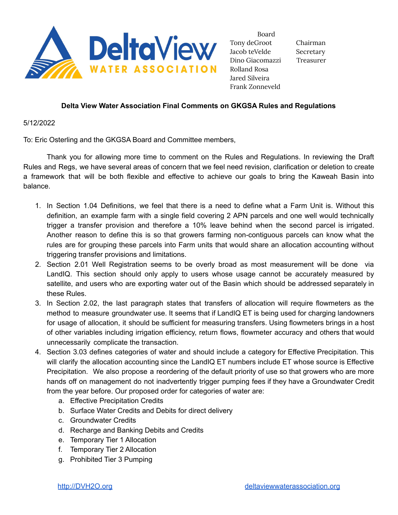

Board Tony deGroot Chairman Jacob teVelde Secretary Dino Giacomazzi Treasurer Rolland Rosa Jared Silveira Frank Zonneveld

## **Delta View Water Association Final Comments on GKGSA Rules and Regulations**

5/12/2022

To: Eric Osterling and the GKGSA Board and Committee members,

Thank you for allowing more time to comment on the Rules and Regulations. In reviewing the Draft Rules and Regs, we have several areas of concern that we feel need revision, clarification or deletion to create a framework that will be both flexible and effective to achieve our goals to bring the Kaweah Basin into balance.

- 1. In Section 1.04 Definitions, we feel that there is a need to define what a Farm Unit is. Without this definition, an example farm with a single field covering 2 APN parcels and one well would technically trigger a transfer provision and therefore a 10% leave behind when the second parcel is irrigated. Another reason to define this is so that growers farming non-contiguous parcels can know what the rules are for grouping these parcels into Farm units that would share an allocation accounting without triggering transfer provisions and limitations.
- 2. Section 2.01 Well Registration seems to be overly broad as most measurement will be done via LandIQ. This section should only apply to users whose usage cannot be accurately measured by satellite, and users who are exporting water out of the Basin which should be addressed separately in these Rules.
- 3. In Section 2.02, the last paragraph states that transfers of allocation will require flowmeters as the method to measure groundwater use. It seems that if LandIQ ET is being used for charging landowners for usage of allocation, it should be sufficient for measuring transfers. Using flowmeters brings in a host of other variables including irrigation efficiency, return flows, flowmeter accuracy and others that would unnecessarily complicate the transaction.
- 4. Section 3.03 defines categories of water and should include a category for Effective Precipitation. This will clarify the allocation accounting since the LandIQ ET numbers include ET whose source is Effective Precipitation. We also propose a reordering of the default priority of use so that growers who are more hands off on management do not inadvertently trigger pumping fees if they have a Groundwater Credit from the year before. Our proposed order for categories of water are:
	- a. Effective Precipitation Credits
	- b. Surface Water Credits and Debits for direct delivery
	- c. Groundwater Credits
	- d. Recharge and Banking Debits and Credits
	- e. Temporary Tier 1 Allocation
	- f. Temporary Tier 2 Allocation
	- g. Prohibited Tier 3 Pumping